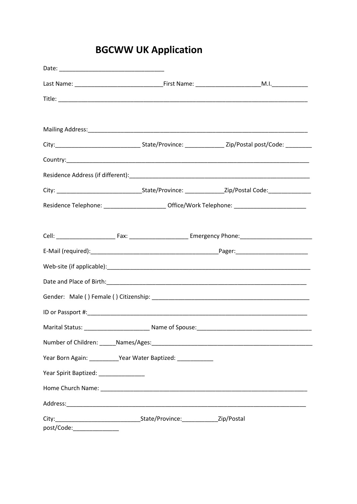## **BGCWW UK Application**

|                                        |                                                                                                     | Country: et al. and the country of the country of the country of the country of the country of the country of the country of the country of the country of the country of the country of the country of the country of the cou |  |  |  |  |  |
|----------------------------------------|-----------------------------------------------------------------------------------------------------|--------------------------------------------------------------------------------------------------------------------------------------------------------------------------------------------------------------------------------|--|--|--|--|--|
|                                        |                                                                                                     |                                                                                                                                                                                                                                |  |  |  |  |  |
|                                        |                                                                                                     |                                                                                                                                                                                                                                |  |  |  |  |  |
|                                        | Residence Telephone: _____________________________ Office/Work Telephone: _________________________ |                                                                                                                                                                                                                                |  |  |  |  |  |
|                                        |                                                                                                     |                                                                                                                                                                                                                                |  |  |  |  |  |
|                                        |                                                                                                     |                                                                                                                                                                                                                                |  |  |  |  |  |
|                                        |                                                                                                     |                                                                                                                                                                                                                                |  |  |  |  |  |
|                                        |                                                                                                     |                                                                                                                                                                                                                                |  |  |  |  |  |
|                                        |                                                                                                     |                                                                                                                                                                                                                                |  |  |  |  |  |
|                                        |                                                                                                     |                                                                                                                                                                                                                                |  |  |  |  |  |
|                                        |                                                                                                     |                                                                                                                                                                                                                                |  |  |  |  |  |
|                                        |                                                                                                     |                                                                                                                                                                                                                                |  |  |  |  |  |
|                                        |                                                                                                     | Number of Children: Mames/Ages: Names and Children and Children and Children and Children and Children and Children                                                                                                            |  |  |  |  |  |
|                                        | Year Born Again: __________Year Water Baptized: ___________                                         |                                                                                                                                                                                                                                |  |  |  |  |  |
| Year Spirit Baptized: ________________ |                                                                                                     |                                                                                                                                                                                                                                |  |  |  |  |  |
|                                        |                                                                                                     |                                                                                                                                                                                                                                |  |  |  |  |  |
|                                        |                                                                                                     |                                                                                                                                                                                                                                |  |  |  |  |  |
|                                        |                                                                                                     |                                                                                                                                                                                                                                |  |  |  |  |  |
|                                        |                                                                                                     |                                                                                                                                                                                                                                |  |  |  |  |  |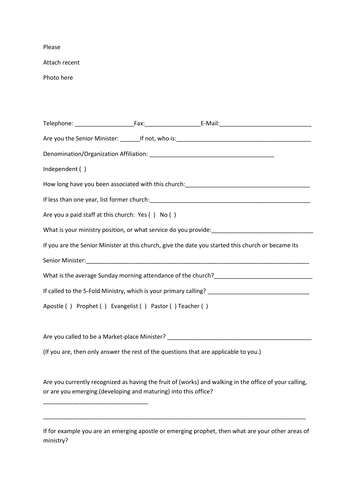Please

Attach recent

Photo here

| Independent ()                                                                                      |  |                                                                                                        |  |  |  |  |
|-----------------------------------------------------------------------------------------------------|--|--------------------------------------------------------------------------------------------------------|--|--|--|--|
|                                                                                                     |  |                                                                                                        |  |  |  |  |
|                                                                                                     |  |                                                                                                        |  |  |  |  |
| Are you a paid staff at this church: Yes () No ()                                                   |  |                                                                                                        |  |  |  |  |
|                                                                                                     |  |                                                                                                        |  |  |  |  |
| If you are the Senior Minister at this church, give the date you started this church or became its  |  |                                                                                                        |  |  |  |  |
|                                                                                                     |  |                                                                                                        |  |  |  |  |
|                                                                                                     |  |                                                                                                        |  |  |  |  |
| If called to the 5-Fold Ministry, which is your primary calling? __________________________________ |  |                                                                                                        |  |  |  |  |
| Apostle () Prophet () Evangelist () Pastor () Teacher ()                                            |  |                                                                                                        |  |  |  |  |
|                                                                                                     |  |                                                                                                        |  |  |  |  |
|                                                                                                     |  |                                                                                                        |  |  |  |  |
| (If you are, then only answer the rest of the questions that are applicable to you.)                |  |                                                                                                        |  |  |  |  |
|                                                                                                     |  |                                                                                                        |  |  |  |  |
| or are you emerging (developing and maturing) into this office?                                     |  | Are you currently recognized as having the fruit of (works) and walking in the office of your calling, |  |  |  |  |
|                                                                                                     |  |                                                                                                        |  |  |  |  |
| ministry?                                                                                           |  | If for example you are an emerging apostle or emerging prophet, then what are your other areas of      |  |  |  |  |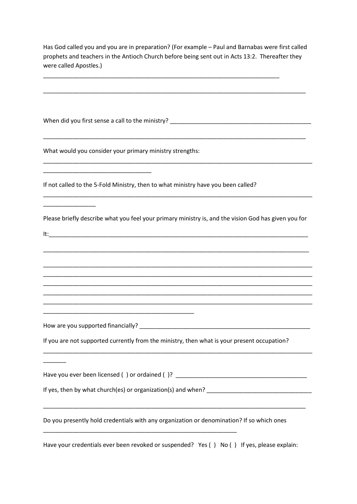Has God called you and you are in preparation? (For example – Paul and Barnabas were first called prophets and teachers in the Antioch Church before being sent out in Acts 13:2. Thereafter they were called Apostles.)

\_\_\_\_\_\_\_\_\_\_\_\_\_\_\_\_\_\_\_\_\_\_\_\_\_\_\_\_\_\_\_\_\_\_\_\_\_\_\_\_\_\_\_\_\_\_\_\_\_\_\_\_\_\_\_\_\_\_\_\_\_\_\_\_\_\_\_\_\_\_\_\_\_\_\_\_\_\_\_\_

\_\_\_\_\_\_\_\_\_\_\_\_\_\_\_\_\_\_\_\_\_\_\_\_\_\_\_\_\_\_\_\_\_\_\_\_\_\_\_\_\_\_\_\_\_\_\_\_\_\_\_\_\_\_\_\_\_\_\_\_\_\_\_\_\_\_\_\_\_\_\_\_

When did you first sense a call to the ministry? \_\_\_\_\_\_\_\_\_\_\_\_\_\_\_\_\_\_\_\_\_\_\_\_\_\_\_\_\_\_\_ \_\_\_\_\_\_\_\_\_\_\_\_\_\_\_\_\_\_\_\_\_\_\_\_\_\_\_\_\_\_\_\_\_\_\_\_\_\_\_\_\_\_\_\_\_\_\_\_\_\_\_\_\_\_\_\_\_\_\_\_\_\_\_\_\_\_\_\_\_\_\_\_\_\_\_\_\_\_\_\_ What would you consider your primary ministry strengths: \_\_\_\_\_\_\_\_\_\_\_\_\_\_\_\_\_\_\_\_\_\_\_\_\_\_\_\_\_\_\_\_\_\_\_\_\_\_\_\_\_\_\_\_\_\_\_\_\_\_\_\_\_\_\_\_\_\_\_\_\_\_\_\_\_\_\_\_\_\_\_\_\_\_\_\_\_\_\_\_\_\_ \_\_\_\_\_\_\_\_\_\_\_\_\_\_\_\_\_\_\_\_\_\_\_\_\_\_\_\_\_\_\_\_\_ If not called to the 5-Fold Ministry, then to what ministry have you been called? \_\_\_\_\_\_\_\_\_\_\_\_\_\_\_\_\_\_\_\_\_\_\_\_\_\_\_\_\_\_\_\_\_\_\_\_\_\_\_\_\_\_\_\_\_\_\_\_\_\_\_\_\_\_\_\_\_\_\_\_\_\_\_\_\_\_\_\_\_\_\_\_\_\_\_\_\_\_\_\_\_\_ \_\_\_\_\_\_\_\_\_\_\_\_\_\_\_\_ Please briefly describe what you feel your primary ministry is, and the vision God has given you for It:\_\_\_\_\_\_\_\_\_\_\_\_\_\_\_\_\_\_\_\_\_\_\_\_\_\_\_\_\_\_\_\_\_\_\_\_\_\_\_\_\_\_\_\_\_\_\_\_\_\_\_\_\_\_\_\_\_\_\_\_\_\_\_\_\_\_\_\_\_\_\_\_\_\_\_\_\_\_\_ \_\_\_\_\_\_\_\_\_\_\_\_\_\_\_\_\_\_\_\_\_\_\_\_\_\_\_\_\_\_\_\_\_\_\_\_\_\_\_\_\_\_\_\_\_\_\_\_\_\_\_\_\_\_\_\_\_\_\_\_\_\_\_\_\_\_\_\_\_\_\_\_\_\_\_\_\_\_\_\_\_ \_\_\_\_\_\_\_\_\_\_\_\_\_\_\_\_\_\_\_\_\_\_\_\_\_\_\_\_\_\_\_\_\_\_\_\_\_\_\_\_\_\_\_\_\_\_\_\_\_\_\_\_\_\_\_\_\_\_\_\_\_\_\_\_\_\_\_\_\_\_\_\_\_\_\_\_\_\_\_\_\_\_ \_\_\_\_\_\_\_\_\_\_\_\_\_\_\_\_\_\_\_\_\_\_\_\_\_\_\_\_\_\_\_\_\_\_\_\_\_\_\_\_\_\_\_\_\_\_\_\_\_\_\_\_\_\_\_\_\_\_\_\_\_\_\_\_\_\_\_\_\_\_\_\_\_\_\_\_\_\_\_\_\_\_ \_\_\_\_\_\_\_\_\_\_\_\_\_\_\_\_\_\_\_\_\_\_\_\_\_\_\_\_\_\_\_\_\_\_\_\_\_\_\_\_\_\_\_\_\_\_\_\_\_\_\_\_\_\_\_\_\_\_\_\_\_\_\_\_\_\_\_\_\_\_\_\_\_\_\_\_\_\_\_\_\_\_ \_\_\_\_\_\_\_\_\_\_\_\_\_\_\_\_\_\_\_\_\_\_\_\_\_\_\_\_\_\_\_\_\_\_\_\_\_\_\_\_\_\_\_\_\_\_\_\_\_\_\_\_\_\_\_\_\_\_\_\_\_\_\_\_\_\_\_\_\_\_\_\_\_\_\_\_\_\_\_\_\_\_ \_\_\_\_\_\_\_\_\_\_\_\_\_\_\_\_\_\_\_\_\_\_\_\_\_\_\_\_\_\_\_\_\_\_\_\_\_\_\_\_\_\_\_\_\_\_\_\_\_\_\_\_\_\_\_\_\_\_\_\_\_\_\_\_\_\_\_\_\_\_\_\_\_\_\_\_\_\_\_\_\_\_ \_\_\_\_\_\_\_\_\_\_\_\_\_\_\_\_\_\_\_\_\_\_\_\_\_\_\_\_\_\_\_\_\_\_\_\_\_\_\_\_\_\_\_\_\_\_ How are you supported financially? If you are not supported currently from the ministry, then what is your present occupation? \_\_\_\_\_\_\_\_\_\_\_\_\_\_\_\_\_\_\_\_\_\_\_\_\_\_\_\_\_\_\_\_\_\_\_\_\_\_\_\_\_\_\_\_\_\_\_\_\_\_\_\_\_\_\_\_\_\_\_\_\_\_\_\_\_\_\_\_\_\_\_\_\_\_\_\_\_\_\_\_\_\_  $\overline{\phantom{a}}$ Have you ever been licensed () or ordained ()? \_\_\_\_\_\_\_\_\_\_\_\_\_\_\_\_\_\_\_\_\_\_\_\_\_\_\_\_\_\_\_\_\_ If yes, then by what church(es) or organization(s) and when? \_\_\_\_\_\_\_\_\_\_\_\_\_\_\_\_\_\_\_\_\_\_\_\_\_\_\_\_\_\_\_\_ \_\_\_\_\_\_\_\_\_\_\_\_\_\_\_\_\_\_\_\_\_\_\_\_\_\_\_\_\_\_\_\_\_\_\_\_\_\_\_\_\_\_\_\_\_\_\_\_\_\_\_\_\_\_\_\_\_\_\_\_\_\_\_\_\_\_\_\_\_\_\_\_\_\_\_\_\_\_\_\_ Do you presently hold credentials with any organization or denomination? If so which ones \_\_\_\_\_\_\_\_\_\_\_\_\_\_\_\_\_\_\_\_\_\_\_\_\_\_\_\_\_\_\_\_\_\_\_\_\_\_\_\_\_\_\_\_\_\_\_\_\_\_\_\_\_\_\_\_\_\_\_

Have your credentials ever been revoked or suspended? Yes () No () If yes, please explain: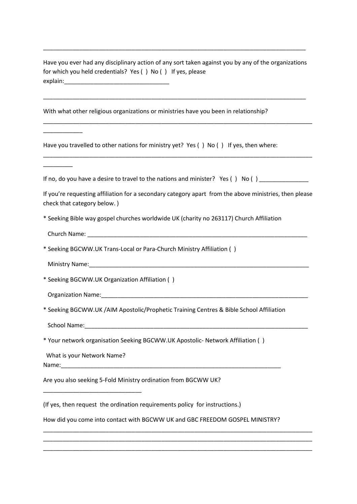Have you ever had any disciplinary action of any sort taken against you by any of the organizations for which you held credentials? Yes ( ) No ( ) If yes, please explain:\_\_\_\_\_\_\_\_\_\_\_\_\_\_\_\_\_\_\_\_\_\_\_\_\_\_\_\_\_\_\_\_

\_\_\_\_\_\_\_\_\_\_\_\_\_\_\_\_\_\_\_\_\_\_\_\_\_\_\_\_\_\_\_\_\_\_\_\_\_\_\_\_\_\_\_\_\_\_\_\_\_\_\_\_\_\_\_\_\_\_\_\_\_\_\_\_\_\_\_\_\_\_\_\_\_\_\_\_\_\_\_\_

\_\_\_\_\_\_\_\_\_\_\_\_\_\_\_\_\_\_\_\_\_\_\_\_\_\_\_\_\_\_\_\_\_\_\_\_\_\_\_\_\_\_\_\_\_\_\_\_\_\_\_\_\_\_\_\_\_\_\_\_\_\_\_\_\_\_\_\_\_\_\_\_\_\_\_\_\_\_\_\_\_\_

\_\_\_\_\_\_\_\_\_\_\_\_\_\_\_\_\_\_\_\_\_\_\_\_\_\_\_\_\_\_\_\_\_\_\_\_\_\_\_\_\_\_\_\_\_\_\_\_\_\_\_\_\_\_\_\_\_\_\_\_\_\_\_\_\_\_\_\_\_\_\_\_\_\_\_\_\_\_\_\_

With what other religious organizations or ministries have you been in relationship?

Have you travelled to other nations for ministry yet? Yes () No () If yes, then where:

If no, do you have a desire to travel to the nations and minister? Yes () No ()  $\qquad$ 

\_\_\_\_\_\_\_\_\_\_\_\_\_\_\_\_\_\_\_\_\_\_\_\_\_\_\_\_\_\_\_\_\_\_\_\_\_\_\_\_\_\_\_\_\_\_\_\_\_\_\_\_\_\_\_\_\_\_\_\_\_\_\_\_\_\_\_\_\_\_\_\_\_\_\_\_\_\_\_\_\_\_

If you're requesting affiliation for a secondary category apart from the above ministries, then please check that category below. )

\* Seeking Bible way gospel churches worldwide UK (charity no 263117) Church Affiliation

Church Name: \_\_\_\_\_\_\_\_\_\_\_\_\_\_\_\_\_\_\_\_\_\_\_\_\_\_\_\_\_\_\_\_\_\_\_\_\_\_\_\_\_\_\_\_\_\_\_\_\_\_\_\_\_\_\_\_\_\_\_\_\_\_\_\_\_\_\_

\_\_\_\_\_\_\_\_\_\_\_\_

\_\_\_\_\_\_\_\_\_

\* Seeking BGCWW.UK Trans-Local or Para-Church Ministry Affiliation ( )

Ministry Name:

\* Seeking BGCWW.UK Organization Affiliation ( )

Organization Name:\_\_\_\_\_\_\_\_\_\_\_\_\_\_\_\_\_\_\_\_\_\_\_\_\_\_\_\_\_\_\_\_\_\_\_\_\_\_\_\_\_\_\_\_\_\_\_\_\_\_\_\_\_\_\_\_\_\_\_\_\_\_\_

\* Seeking BGCWW.UK /AIM Apostolic/Prophetic Training Centres & Bible School Affiliation

School Name:

\* Your network organisation Seeking BGCWW.UK Apostolic- Network Affiliation ( )

What is your Network Name?

\_\_\_\_\_\_\_\_\_\_\_\_\_\_\_\_\_\_\_\_\_\_\_\_\_\_\_\_\_\_

Name:

Are you also seeking 5-Fold Ministry ordination from BGCWW UK?

(If yes, then request the ordination requirements policy for instructions.)

How did you come into contact with BGCWW UK and GBC FREEDOM GOSPEL MINISTRY?

\_\_\_\_\_\_\_\_\_\_\_\_\_\_\_\_\_\_\_\_\_\_\_\_\_\_\_\_\_\_\_\_\_\_\_\_\_\_\_\_\_\_\_\_\_\_\_\_\_\_\_\_\_\_\_\_\_\_\_\_\_\_\_\_\_\_\_\_\_\_\_\_\_\_\_\_\_\_\_\_\_\_ \_\_\_\_\_\_\_\_\_\_\_\_\_\_\_\_\_\_\_\_\_\_\_\_\_\_\_\_\_\_\_\_\_\_\_\_\_\_\_\_\_\_\_\_\_\_\_\_\_\_\_\_\_\_\_\_\_\_\_\_\_\_\_\_\_\_\_\_\_\_\_\_\_\_\_\_\_\_\_\_\_\_ \_\_\_\_\_\_\_\_\_\_\_\_\_\_\_\_\_\_\_\_\_\_\_\_\_\_\_\_\_\_\_\_\_\_\_\_\_\_\_\_\_\_\_\_\_\_\_\_\_\_\_\_\_\_\_\_\_\_\_\_\_\_\_\_\_\_\_\_\_\_\_\_\_\_\_\_\_\_\_\_\_\_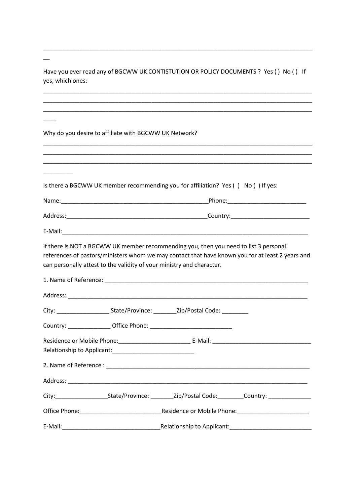Have you ever read any of BGCWW UK CONTISTUTION OR POLICY DOCUMENTS ? Yes () No () If yes, which ones:

\_\_\_\_\_\_\_\_\_\_\_\_\_\_\_\_\_\_\_\_\_\_\_\_\_\_\_\_\_\_\_\_\_\_\_\_\_\_\_\_\_\_\_\_\_\_\_\_\_\_\_\_\_\_\_\_\_\_\_\_\_\_\_\_\_\_\_\_\_\_\_\_\_\_\_\_\_\_\_\_\_\_ \_\_\_\_\_\_\_\_\_\_\_\_\_\_\_\_\_\_\_\_\_\_\_\_\_\_\_\_\_\_\_\_\_\_\_\_\_\_\_\_\_\_\_\_\_\_\_\_\_\_\_\_\_\_\_\_\_\_\_\_\_\_\_\_\_\_\_\_\_\_\_\_\_\_\_\_\_\_\_\_\_\_ \_\_\_\_\_\_\_\_\_\_\_\_\_\_\_\_\_\_\_\_\_\_\_\_\_\_\_\_\_\_\_\_\_\_\_\_\_\_\_\_\_\_\_\_\_\_\_\_\_\_\_\_\_\_\_\_\_\_\_\_\_\_\_\_\_\_\_\_\_\_\_\_\_\_\_\_\_\_\_\_\_\_

\_\_\_\_\_\_\_\_\_\_\_\_\_\_\_\_\_\_\_\_\_\_\_\_\_\_\_\_\_\_\_\_\_\_\_\_\_\_\_\_\_\_\_\_\_\_\_\_\_\_\_\_\_\_\_\_\_\_\_\_\_\_\_\_\_\_\_\_\_\_\_\_\_\_\_\_\_\_\_\_\_\_

Why do you desire to affiliate with BGCWW UK Network?

\_\_\_\_\_\_\_\_\_\_\_\_\_\_\_\_\_\_\_\_\_\_\_\_\_\_\_\_\_\_\_\_\_\_\_\_\_\_\_\_\_\_\_\_\_\_\_\_\_\_\_\_\_\_\_\_\_\_\_\_\_\_\_\_\_\_\_\_\_\_\_\_\_\_\_\_\_\_\_\_\_\_ \_\_\_\_\_\_\_\_\_\_\_\_\_\_\_\_\_\_\_\_\_\_\_\_\_\_\_\_\_\_\_\_\_\_\_\_\_\_\_\_\_\_\_\_\_\_\_\_\_\_\_\_\_\_\_\_\_\_\_\_\_\_\_\_\_\_\_\_\_\_\_\_\_\_\_\_\_\_\_\_\_\_ \_\_\_\_\_\_\_\_\_\_\_\_\_\_\_\_\_\_\_\_\_\_\_\_\_\_\_\_\_\_\_\_\_\_\_\_\_\_\_\_\_\_\_\_\_\_\_\_\_\_\_\_\_\_\_\_\_\_\_\_\_\_\_\_\_\_\_\_\_\_\_\_\_\_\_\_\_\_\_\_\_\_ \_\_\_\_\_\_\_\_\_ Is there a BGCWW UK member recommending you for affiliation? Yes () No () If yes: Name: where the contract of the contract of the Phone:  $P$ hone: Address:\_\_\_\_\_\_\_\_\_\_\_\_\_\_\_\_\_\_\_\_\_\_\_\_\_\_\_\_\_\_\_\_\_\_\_\_\_\_\_\_\_\_\_Country:\_\_\_\_\_\_\_\_\_\_\_\_\_\_\_\_\_\_\_\_\_\_\_\_ E-Mail: If there is NOT a BGCWW UK member recommending you, then you need to list 3 personal references of pastors/ministers whom we may contact that have known you for at least 2 years and can personally attest to the validity of your ministry and character. 1. Name of Reference: \_\_\_\_\_\_\_\_\_\_\_\_\_\_\_\_\_\_\_\_\_\_\_\_\_\_\_\_\_\_\_\_\_\_\_\_\_\_\_\_\_\_\_\_\_\_\_\_\_\_\_\_\_\_\_\_\_\_\_\_\_\_ Address: \_\_\_\_\_\_\_\_\_\_\_\_\_\_\_\_\_\_\_\_\_\_\_\_\_\_\_\_\_\_\_\_\_\_\_\_\_\_\_\_\_\_\_\_\_\_\_\_\_\_\_\_\_\_\_\_\_\_\_\_\_\_\_\_\_\_\_\_\_\_\_\_\_ City: \_\_\_\_\_\_\_\_\_\_\_\_\_\_\_\_\_\_\_\_\_\_\_\_State/Province: \_\_\_\_\_\_\_\_\_\_Zip/Postal Code: \_\_\_\_\_\_\_\_ Country: \_\_\_\_\_\_\_\_\_\_\_\_\_ Office Phone: \_\_\_\_\_\_\_\_\_\_\_\_\_\_\_\_\_\_\_\_\_\_\_\_\_ Residence or Mobile Phone:\_\_\_\_\_\_\_\_\_\_\_\_\_\_\_\_\_\_\_\_\_\_ E-Mail: \_\_\_\_\_\_\_\_\_\_\_\_\_\_\_\_\_\_\_\_\_\_\_\_\_\_\_\_\_\_ Relationship to Applicant: 2. Name of Reference : Address: \_\_\_\_\_\_\_\_\_\_\_\_\_\_\_\_\_\_\_\_\_\_\_\_\_\_\_\_\_\_\_\_\_\_\_\_\_\_\_\_\_\_\_\_\_\_\_\_\_\_\_\_\_\_\_\_\_\_\_\_\_\_\_\_\_\_\_\_\_\_\_\_\_ City: State/Province: Zip/Postal Code: Country: Office Phone:\_\_\_\_\_\_\_\_\_\_\_\_\_\_\_\_\_\_\_\_\_\_\_\_\_Residence or Mobile Phone:\_\_\_\_\_\_\_\_\_\_\_\_\_\_\_\_\_\_\_\_\_\_

E-Mail:\_\_\_\_\_\_\_\_\_\_\_\_\_\_\_\_\_\_\_\_\_\_\_\_\_\_\_\_\_\_Relationship to Applicant:\_\_\_\_\_\_\_\_\_\_\_\_\_\_\_\_\_\_\_\_\_\_\_\_\_

 $\overline{\phantom{a}}$ 

 $\overline{\phantom{a}}$